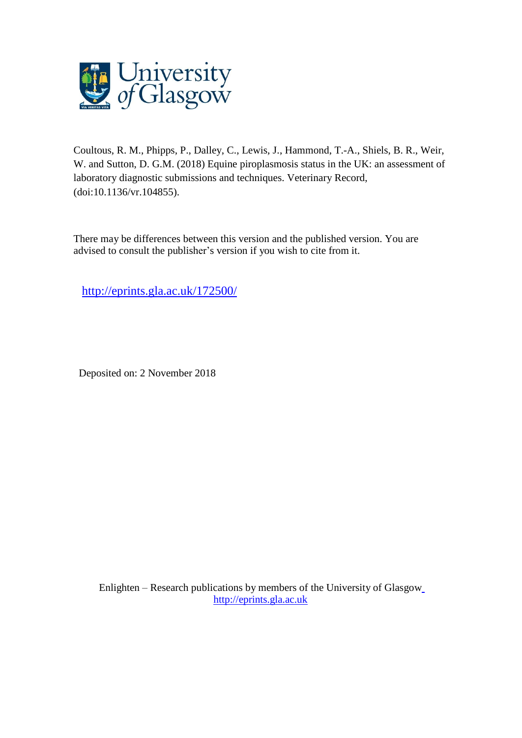

Coultous, R. M., Phipps, P., Dalley, C., Lewis, J., Hammond, T.-A., Shiels, B. R., Weir, W. and Sutton, D. G.M. (2018) Equine piroplasmosis status in the UK: an assessment of laboratory diagnostic submissions and techniques. Veterinary Record, (doi:10.1136/vr.104855).

There may be differences between this version and the published version. You are advised to consult the publisher's version if you wish to cite from it.

<http://eprints.gla.ac.uk/172500/>

Deposited on: 2 November 2018

Enlighten – Research publications by members of the University of Glasgo[w](http://eprints.gla.ac.uk/) [http://eprints.gla.ac.uk](http://eprints.gla.ac.uk/)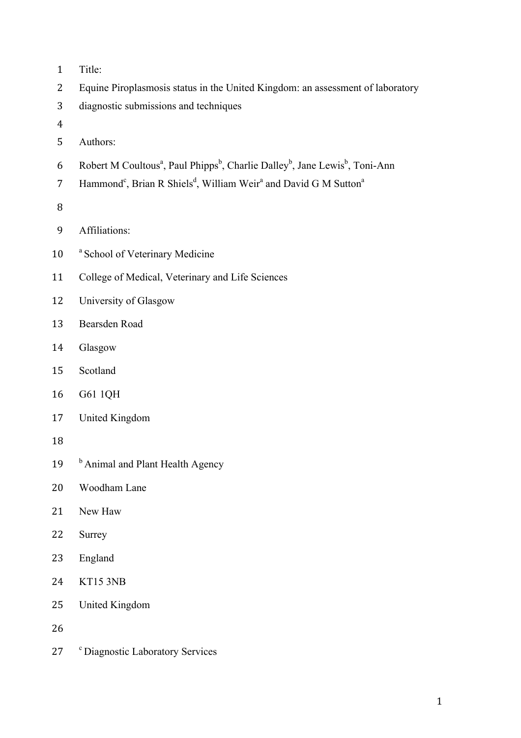- Title:
- Equine Piroplasmosis status in the United Kingdom: an assessment of laboratory
- diagnostic submissions and techniques
- 
- Authors:
- 6 Robert M Coultous<sup>a</sup>, Paul Phipps<sup>b</sup>, Charlie Dalley<sup>b</sup>, Jane Lewis<sup>b</sup>, Toni-Ann
- 7 Hammond<sup>c</sup>, Brian R Shiels<sup>d</sup>, William Weir<sup>a</sup> and David G M Sutton<sup>a</sup>
- 
- Affiliations:
- 10 <sup>a</sup> School of Veterinary Medicine
- College of Medical, Veterinary and Life Sciences
- University of Glasgow
- Bearsden Road
- Glasgow
- Scotland
- G61 1QH
- United Kingdom
- 
- 19 b Animal and Plant Health Agency
- Woodham Lane
- New Haw
- Surrey
- England
- KT15 3NB
- United Kingdom

27 <sup>c</sup> Diagnostic Laboratory Services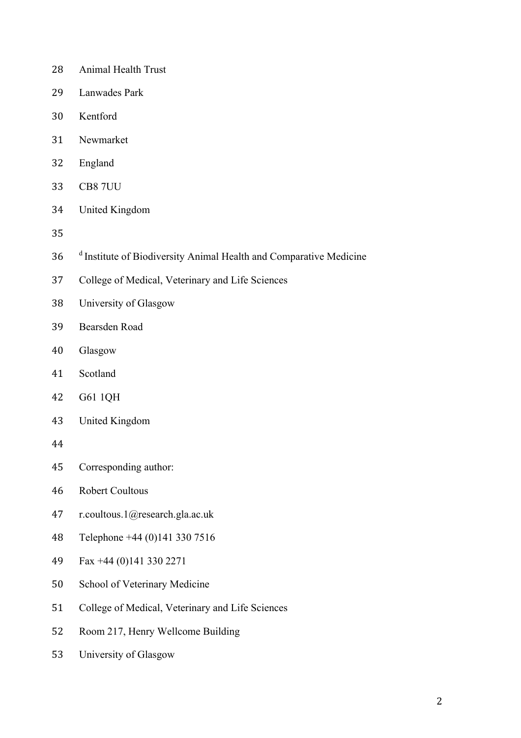- Animal Health Trust
- Lanwades Park
- Kentford
- Newmarket
- England
- CB8 7UU
- United Kingdom
- 
- 36 <sup>d</sup> Institute of Biodiversity Animal Health and Comparative Medicine
- College of Medical, Veterinary and Life Sciences
- University of Glasgow
- Bearsden Road
- Glasgow
- Scotland
- G61 1QH
- United Kingdom
- 
- Corresponding author:
- Robert Coultous
- r.coultous.1@research.gla.ac.uk
- Telephone +44 (0)141 330 7516
- Fax +44 (0)141 330 2271
- School of Veterinary Medicine
- College of Medical, Veterinary and Life Sciences
- Room 217, Henry Wellcome Building
- University of Glasgow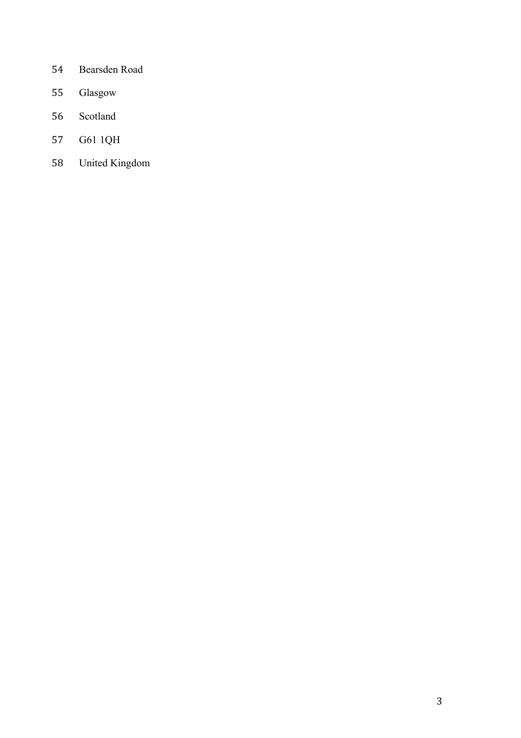- Bearsden Road
- Glasgow
- Scotland
- G61 1QH
- United Kingdom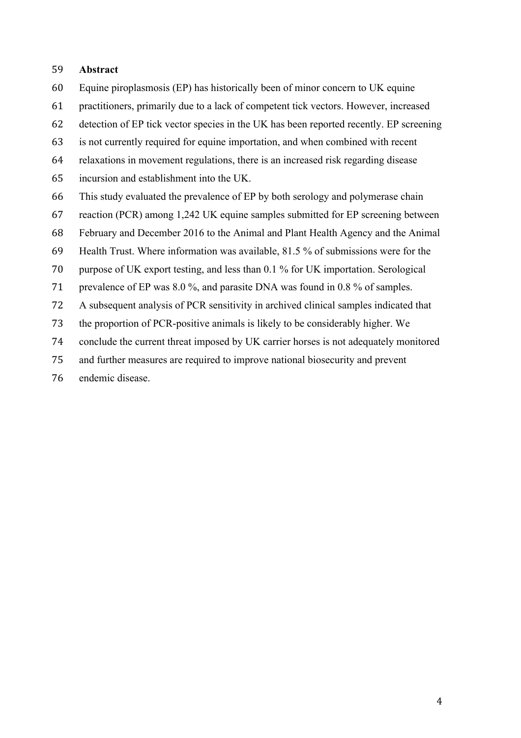#### **Abstract**

- Equine piroplasmosis (EP) has historically been of minor concern to UK equine
- practitioners, primarily due to a lack of competent tick vectors. However, increased
- detection of EP tick vector species in the UK has been reported recently. EP screening
- is not currently required for equine importation, and when combined with recent
- relaxations in movement regulations, there is an increased risk regarding disease
- incursion and establishment into the UK.
- This study evaluated the prevalence of EP by both serology and polymerase chain
- reaction (PCR) among 1,242 UK equine samples submitted for EP screening between
- February and December 2016 to the Animal and Plant Health Agency and the Animal
- Health Trust. Where information was available, 81.5 % of submissions were for the
- purpose of UK export testing, and less than 0.1 % for UK importation. Serological
- prevalence of EP was 8.0 %, and parasite DNA was found in 0.8 % of samples.
- A subsequent analysis of PCR sensitivity in archived clinical samples indicated that
- the proportion of PCR-positive animals is likely to be considerably higher. We
- conclude the current threat imposed by UK carrier horses is not adequately monitored
- and further measures are required to improve national biosecurity and prevent
- endemic disease.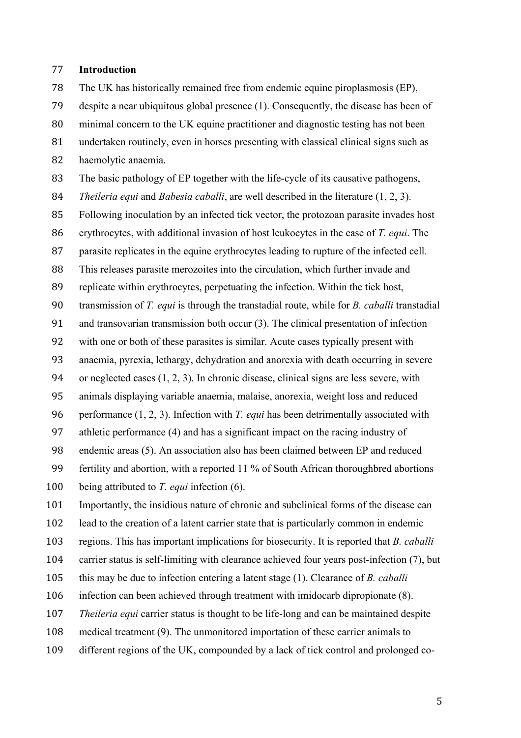#### **Introduction**

 The UK has historically remained free from endemic equine piroplasmosis (EP), despite a near ubiquitous global presence (1). Consequently, the disease has been of minimal concern to the UK equine practitioner and diagnostic testing has not been undertaken routinely, even in horses presenting with classical clinical signs such as haemolytic anaemia.

The basic pathology of EP together with the life-cycle of its causative pathogens,

- *Theileria equi* and *Babesia caballi*, are well described in the literature (1, 2, 3).
- Following inoculation by an infected tick vector, the protozoan parasite invades host
- erythrocytes, with additional invasion of host leukocytes in the case of *T. equi*. The
- parasite replicates in the equine erythrocytes leading to rupture of the infected cell.
- This releases parasite merozoites into the circulation, which further invade and
- replicate within erythrocytes, perpetuating the infection. Within the tick host,
- transmission of *T. equi* is through the transtadial route, while for *B. caballi* transtadial
- and transovarian transmission both occur (3). The clinical presentation of infection
- with one or both of these parasites is similar. Acute cases typically present with
- anaemia, pyrexia, lethargy, dehydration and anorexia with death occurring in severe
- or neglected cases (1, 2, 3). In chronic disease, clinical signs are less severe, with
- animals displaying variable anaemia, malaise, anorexia, weight loss and reduced
- performance (1, 2, 3). Infection with *T. equi* has been detrimentally associated with
- athletic performance (4) and has a significant impact on the racing industry of
- endemic areas (5). An association also has been claimed between EP and reduced
- fertility and abortion, with a reported 11 % of South African thoroughbred abortions
- being attributed to *T. equi* infection (6).
- Importantly, the insidious nature of chronic and subclinical forms of the disease can
- lead to the creation of a latent carrier state that is particularly common in endemic
- regions. This has important implications for biosecurity. It is reported that *B. caballi*
- carrier status is self-limiting with clearance achieved four years post-infection (7), but
- this may be due to infection entering a latent stage (1). Clearance of *B. caballi*
- infection can been achieved through treatment with imidocarb dipropionate (8).
- *Theileria equi* carrier status is thought to be life-long and can be maintained despite
- medical treatment (9). The unmonitored importation of these carrier animals to
- different regions of the UK, compounded by a lack of tick control and prolonged co-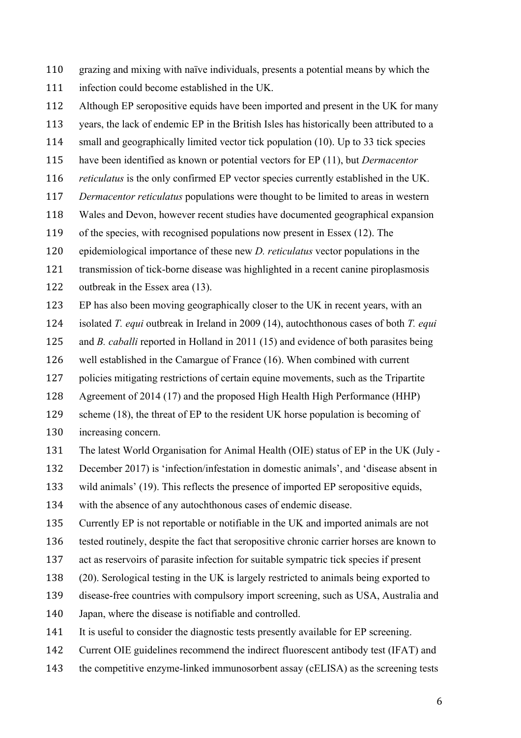- grazing and mixing with naïve individuals, presents a potential means by which the
- infection could become established in the UK.
- Although EP seropositive equids have been imported and present in the UK for many
- years, the lack of endemic EP in the British Isles has historically been attributed to a
- small and geographically limited vector tick population (10). Up to 33 tick species
- have been identified as known or potential vectors for EP (11), but *Dermacentor*
- *reticulatus* is the only confirmed EP vector species currently established in the UK.
- *Dermacentor reticulatus* populations were thought to be limited to areas in western
- Wales and Devon, however recent studies have documented geographical expansion
- of the species, with recognised populations now present in Essex (12). The
- epidemiological importance of these new *D. reticulatus* vector populations in the
- transmission of tick-borne disease was highlighted in a recent canine piroplasmosis
- outbreak in the Essex area (13).
- EP has also been moving geographically closer to the UK in recent years, with an
- isolated *T. equi* outbreak in Ireland in 2009 (14), autochthonous cases of both *T. equi*
- and *B. caballi* reported in Holland in 2011 (15) and evidence of both parasites being
- well established in the Camargue of France (16). When combined with current
- policies mitigating restrictions of certain equine movements, such as the Tripartite
- Agreement of 2014 (17) and the proposed High Health High Performance (HHP)
- scheme (18), the threat of EP to the resident UK horse population is becoming of increasing concern.
- The latest World Organisation for Animal Health (OIE) status of EP in the UK (July -
- December 2017) is 'infection/infestation in domestic animals', and 'disease absent in
- wild animals' (19). This reflects the presence of imported EP seropositive equids,
- with the absence of any autochthonous cases of endemic disease.
- Currently EP is not reportable or notifiable in the UK and imported animals are not
- tested routinely, despite the fact that seropositive chronic carrier horses are known to
- act as reservoirs of parasite infection for suitable sympatric tick species if present
- (20). Serological testing in the UK is largely restricted to animals being exported to
- disease-free countries with compulsory import screening, such as USA, Australia and
- Japan, where the disease is notifiable and controlled.
- It is useful to consider the diagnostic tests presently available for EP screening.
- Current OIE guidelines recommend the indirect fluorescent antibody test (IFAT) and
- the competitive enzyme-linked immunosorbent assay (cELISA) as the screening tests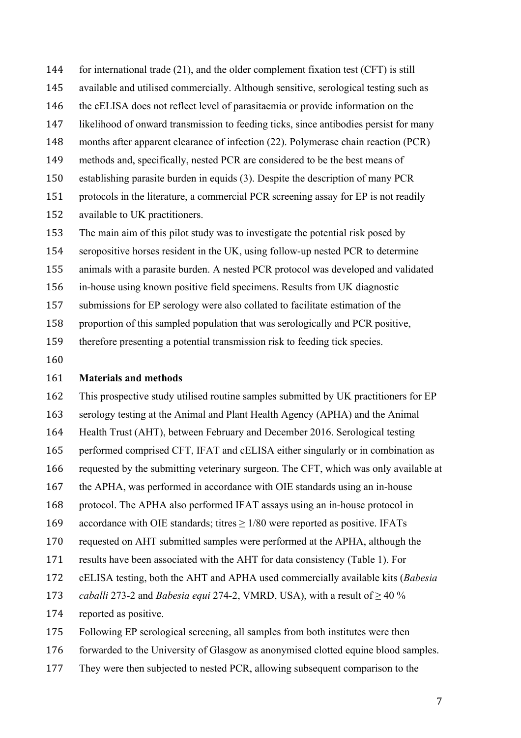for international trade (21), and the older complement fixation test (CFT) is still

- available and utilised commercially. Although sensitive, serological testing such as
- the cELISA does not reflect level of parasitaemia or provide information on the

likelihood of onward transmission to feeding ticks, since antibodies persist for many

- months after apparent clearance of infection (22). Polymerase chain reaction (PCR)
- methods and, specifically, nested PCR are considered to be the best means of
- establishing parasite burden in equids (3). Despite the description of many PCR
- protocols in the literature, a commercial PCR screening assay for EP is not readily
- available to UK practitioners.

The main aim of this pilot study was to investigate the potential risk posed by

seropositive horses resident in the UK, using follow-up nested PCR to determine

animals with a parasite burden. A nested PCR protocol was developed and validated

- in-house using known positive field specimens. Results from UK diagnostic
- submissions for EP serology were also collated to facilitate estimation of the
- proportion of this sampled population that was serologically and PCR positive,
- therefore presenting a potential transmission risk to feeding tick species.
- 

#### **Materials and methods**

 This prospective study utilised routine samples submitted by UK practitioners for EP serology testing at the Animal and Plant Health Agency (APHA) and the Animal

- Health Trust (AHT), between February and December 2016. Serological testing
- performed comprised CFT, IFAT and cELISA either singularly or in combination as
- requested by the submitting veterinary surgeon. The CFT, which was only available at
- the APHA, was performed in accordance with OIE standards using an in-house
- protocol. The APHA also performed IFAT assays using an in-house protocol in
- 169 accordance with OIE standards; titres  $\geq$  1/80 were reported as positive. IFATs
- requested on AHT submitted samples were performed at the APHA, although the
- results have been associated with the AHT for data consistency (Table 1). For
- cELISA testing, both the AHT and APHA used commercially available kits (*Babesia*
- 173 *caballi* 273-2 and *Babesia equi* 274-2, VMRD, USA), with a result of  $\geq$  40 %
- reported as positive.
- Following EP serological screening, all samples from both institutes were then
- forwarded to the University of Glasgow as anonymised clotted equine blood samples.
- They were then subjected to nested PCR, allowing subsequent comparison to the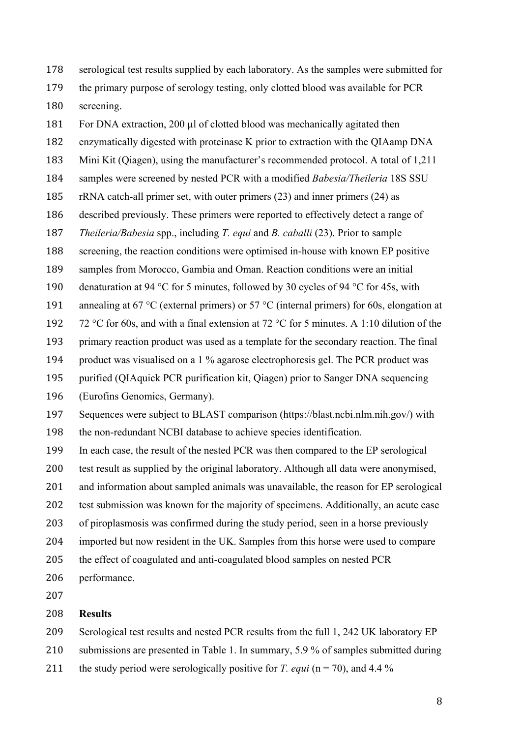serological test results supplied by each laboratory. As the samples were submitted for the primary purpose of serology testing, only clotted blood was available for PCR screening.

181 For DNA extraction, 200 µl of clotted blood was mechanically agitated then

enzymatically digested with proteinase K prior to extraction with the QIAamp DNA

Mini Kit (Qiagen), using the manufacturer's recommended protocol. A total of 1,211

- samples were screened by nested PCR with a modified *Babesia/Theileria* 18S SSU
- rRNA catch-all primer set, with outer primers (23) and inner primers (24) as
- described previously. These primers were reported to effectively detect a range of
- *Theileria/Babesia* spp., including *T. equi* and *B. caballi* (23). Prior to sample

screening, the reaction conditions were optimised in-house with known EP positive

samples from Morocco, Gambia and Oman. Reaction conditions were an initial

- 190 denaturation at 94 °C for 5 minutes, followed by 30 cycles of 94 °C for 45s, with
- 191 annealing at 67 °C (external primers) or 57 °C (internal primers) for 60s, elongation at

192 72 °C for 60s, and with a final extension at 72 °C for 5 minutes. A 1:10 dilution of the

primary reaction product was used as a template for the secondary reaction. The final

- product was visualised on a 1 % agarose electrophoresis gel. The PCR product was
- purified (QIAquick PCR purification kit, Qiagen) prior to Sanger DNA sequencing

(Eurofins Genomics, Germany).

Sequences were subject to BLAST comparison (https://blast.ncbi.nlm.nih.gov/) with

the non-redundant NCBI database to achieve species identification.

In each case, the result of the nested PCR was then compared to the EP serological

test result as supplied by the original laboratory. Although all data were anonymised,

and information about sampled animals was unavailable, the reason for EP serological

test submission was known for the majority of specimens. Additionally, an acute case

of piroplasmosis was confirmed during the study period, seen in a horse previously

- imported but now resident in the UK. Samples from this horse were used to compare
- the effect of coagulated and anti-coagulated blood samples on nested PCR
- performance.

#### **Results**

Serological test results and nested PCR results from the full 1, 242 UK laboratory EP

210 submissions are presented in Table 1. In summary, 5.9 % of samples submitted during

211 the study period were serologically positive for *T. equi* ( $n = 70$ ), and 4.4 %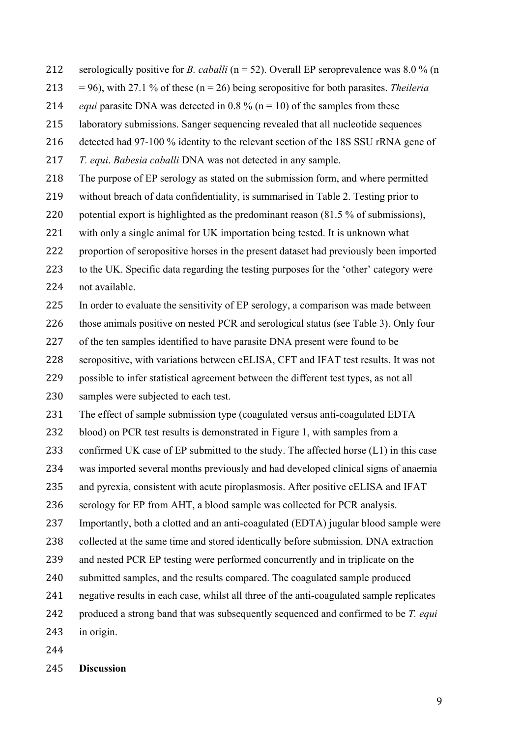- serologically positive for *B. caballi* (n = 52). Overall EP seroprevalence was 8.0 % (n
- = 96), with 27.1 % of these (n = 26) being seropositive for both parasites. *Theileria*
- 214 *equi* parasite DNA was detected in 0.8 % ( $n = 10$ ) of the samples from these
- laboratory submissions. Sanger sequencing revealed that all nucleotide sequences
- detected had 97-100 % identity to the relevant section of the 18S SSU rRNA gene of

*T. equi*. *Babesia caballi* DNA was not detected in any sample.

- The purpose of EP serology as stated on the submission form, and where permitted
- without breach of data confidentiality, is summarised in Table 2. Testing prior to
- potential export is highlighted as the predominant reason (81.5 % of submissions),
- with only a single animal for UK importation being tested. It is unknown what
- proportion of seropositive horses in the present dataset had previously been imported
- to the UK. Specific data regarding the testing purposes for the 'other' category were
- not available.
- In order to evaluate the sensitivity of EP serology, a comparison was made between
- those animals positive on nested PCR and serological status (see Table 3). Only four
- of the ten samples identified to have parasite DNA present were found to be
- seropositive, with variations between cELISA, CFT and IFAT test results. It was not
- possible to infer statistical agreement between the different test types, as not all
- samples were subjected to each test.
- The effect of sample submission type (coagulated versus anti-coagulated EDTA
- blood) on PCR test results is demonstrated in Figure 1, with samples from a
- 233 confirmed UK case of EP submitted to the study. The affected horse (L1) in this case
- was imported several months previously and had developed clinical signs of anaemia
- and pyrexia, consistent with acute piroplasmosis. After positive cELISA and IFAT
- serology for EP from AHT, a blood sample was collected for PCR analysis.
- Importantly, both a clotted and an anti-coagulated (EDTA) jugular blood sample were
- collected at the same time and stored identically before submission. DNA extraction
- and nested PCR EP testing were performed concurrently and in triplicate on the
- submitted samples, and the results compared. The coagulated sample produced
- negative results in each case, whilst all three of the anti-coagulated sample replicates
- produced a strong band that was subsequently sequenced and confirmed to be *T. equi*
- in origin.
- 
- **Discussion**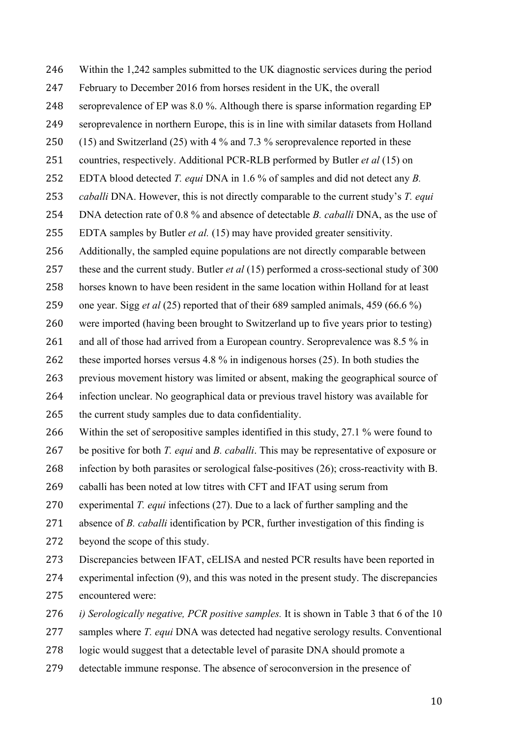Within the 1,242 samples submitted to the UK diagnostic services during the period February to December 2016 from horses resident in the UK, the overall seroprevalence of EP was 8.0 %. Although there is sparse information regarding EP seroprevalence in northern Europe, this is in line with similar datasets from Holland (15) and Switzerland (25) with 4 % and 7.3 % seroprevalence reported in these countries, respectively. Additional PCR-RLB performed by Butler *et al* (15) on EDTA blood detected *T. equi* DNA in 1.6 % of samples and did not detect any *B. caballi* DNA. However, this is not directly comparable to the current study's *T. equi* DNA detection rate of 0.8 % and absence of detectable *B. caballi* DNA, as the use of EDTA samples by Butler *et al.* (15) may have provided greater sensitivity. Additionally, the sampled equine populations are not directly comparable between these and the current study. Butler *et al* (15) performed a cross-sectional study of 300 horses known to have been resident in the same location within Holland for at least one year. Sigg *et al* (25) reported that of their 689 sampled animals, 459 (66.6 %) were imported (having been brought to Switzerland up to five years prior to testing) 261 and all of those had arrived from a European country. Seroprevalence was 8.5 % in these imported horses versus 4.8 % in indigenous horses (25). In both studies the previous movement history was limited or absent, making the geographical source of infection unclear. No geographical data or previous travel history was available for the current study samples due to data confidentiality. Within the set of seropositive samples identified in this study, 27.1 % were found to be positive for both *T. equi* and *B. caballi*. This may be representative of exposure or infection by both parasites or serological false-positives (26); cross-reactivity with B. caballi has been noted at low titres with CFT and IFAT using serum from experimental *T. equi* infections (27). Due to a lack of further sampling and the absence of *B. caballi* identification by PCR, further investigation of this finding is beyond the scope of this study. Discrepancies between IFAT, cELISA and nested PCR results have been reported in experimental infection (9), and this was noted in the present study. The discrepancies encountered were: *i) Serologically negative, PCR positive samples.* It is shown in Table 3 that 6 of the 10 samples where *T. equi* DNA was detected had negative serology results. Conventional logic would suggest that a detectable level of parasite DNA should promote a

detectable immune response. The absence of seroconversion in the presence of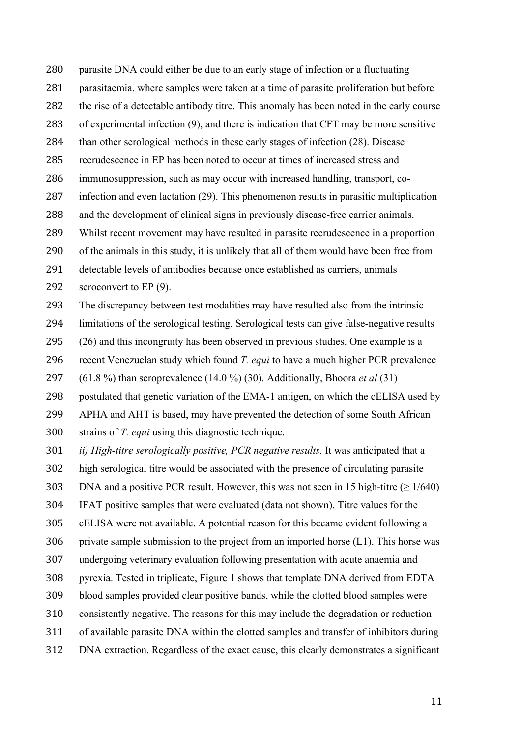parasite DNA could either be due to an early stage of infection or a fluctuating parasitaemia, where samples were taken at a time of parasite proliferation but before the rise of a detectable antibody titre. This anomaly has been noted in the early course of experimental infection (9), and there is indication that CFT may be more sensitive than other serological methods in these early stages of infection (28). Disease recrudescence in EP has been noted to occur at times of increased stress and immunosuppression, such as may occur with increased handling, transport, co- infection and even lactation (29). This phenomenon results in parasitic multiplication and the development of clinical signs in previously disease-free carrier animals. Whilst recent movement may have resulted in parasite recrudescence in a proportion of the animals in this study, it is unlikely that all of them would have been free from detectable levels of antibodies because once established as carriers, animals

292 seroconvert to EP (9).

The discrepancy between test modalities may have resulted also from the intrinsic

limitations of the serological testing. Serological tests can give false-negative results

(26) and this incongruity has been observed in previous studies. One example is a

recent Venezuelan study which found *T. equi* to have a much higher PCR prevalence

(61.8 %) than seroprevalence (14.0 %) (30). Additionally, Bhoora *et al* (31)

postulated that genetic variation of the EMA-1 antigen, on which the cELISA used by

APHA and AHT is based, may have prevented the detection of some South African

strains of *T. equi* using this diagnostic technique.

*ii) High-titre serologically positive, PCR negative results.* It was anticipated that a

high serological titre would be associated with the presence of circulating parasite

303 DNA and a positive PCR result. However, this was not seen in 15 high-titre ( $\geq 1/640$ )

IFAT positive samples that were evaluated (data not shown). Titre values for the

cELISA were not available. A potential reason for this became evident following a

private sample submission to the project from an imported horse (L1). This horse was

undergoing veterinary evaluation following presentation with acute anaemia and

pyrexia. Tested in triplicate, Figure 1 shows that template DNA derived from EDTA

blood samples provided clear positive bands, while the clotted blood samples were

consistently negative. The reasons for this may include the degradation or reduction

of available parasite DNA within the clotted samples and transfer of inhibitors during

DNA extraction. Regardless of the exact cause, this clearly demonstrates a significant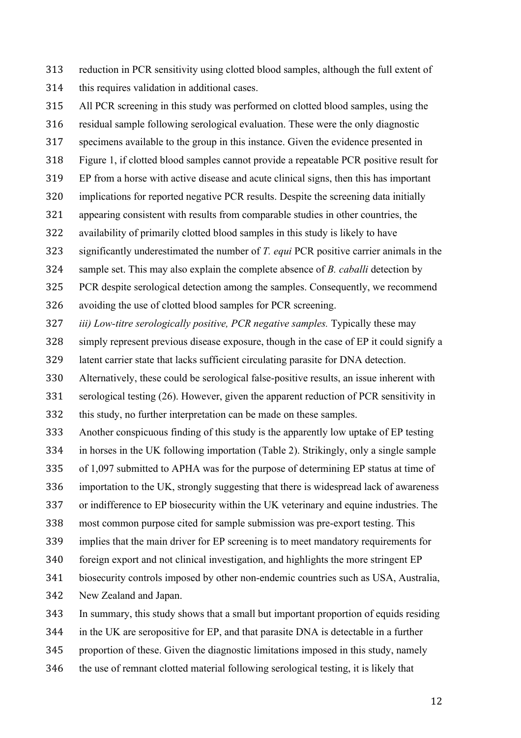reduction in PCR sensitivity using clotted blood samples, although the full extent of this requires validation in additional cases.

All PCR screening in this study was performed on clotted blood samples, using the

residual sample following serological evaluation. These were the only diagnostic

specimens available to the group in this instance. Given the evidence presented in

Figure 1, if clotted blood samples cannot provide a repeatable PCR positive result for

- EP from a horse with active disease and acute clinical signs, then this has important
- implications for reported negative PCR results. Despite the screening data initially
- appearing consistent with results from comparable studies in other countries, the
- availability of primarily clotted blood samples in this study is likely to have

significantly underestimated the number of *T. equi* PCR positive carrier animals in the

sample set. This may also explain the complete absence of *B. caballi* detection by

PCR despite serological detection among the samples. Consequently, we recommend

avoiding the use of clotted blood samples for PCR screening.

*iii) Low-titre serologically positive, PCR negative samples.* Typically these may

simply represent previous disease exposure, though in the case of EP it could signify a

latent carrier state that lacks sufficient circulating parasite for DNA detection.

Alternatively, these could be serological false-positive results, an issue inherent with

serological testing (26). However, given the apparent reduction of PCR sensitivity in

this study, no further interpretation can be made on these samples.

Another conspicuous finding of this study is the apparently low uptake of EP testing

in horses in the UK following importation (Table 2). Strikingly, only a single sample

of 1,097 submitted to APHA was for the purpose of determining EP status at time of

importation to the UK, strongly suggesting that there is widespread lack of awareness

or indifference to EP biosecurity within the UK veterinary and equine industries. The

most common purpose cited for sample submission was pre-export testing. This

implies that the main driver for EP screening is to meet mandatory requirements for

foreign export and not clinical investigation, and highlights the more stringent EP

biosecurity controls imposed by other non-endemic countries such as USA, Australia,

New Zealand and Japan.

In summary, this study shows that a small but important proportion of equids residing

in the UK are seropositive for EP, and that parasite DNA is detectable in a further

proportion of these. Given the diagnostic limitations imposed in this study, namely

the use of remnant clotted material following serological testing, it is likely that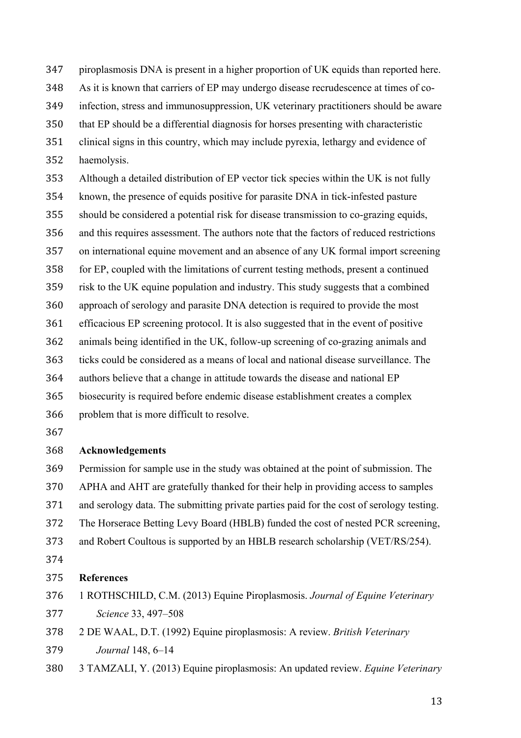piroplasmosis DNA is present in a higher proportion of UK equids than reported here.

As it is known that carriers of EP may undergo disease recrudescence at times of co-

infection, stress and immunosuppression, UK veterinary practitioners should be aware

- that EP should be a differential diagnosis for horses presenting with characteristic
- clinical signs in this country, which may include pyrexia, lethargy and evidence of haemolysis.

 Although a detailed distribution of EP vector tick species within the UK is not fully known, the presence of equids positive for parasite DNA in tick-infested pasture should be considered a potential risk for disease transmission to co-grazing equids, and this requires assessment. The authors note that the factors of reduced restrictions on international equine movement and an absence of any UK formal import screening for EP, coupled with the limitations of current testing methods, present a continued risk to the UK equine population and industry. This study suggests that a combined approach of serology and parasite DNA detection is required to provide the most efficacious EP screening protocol. It is also suggested that in the event of positive animals being identified in the UK, follow-up screening of co-grazing animals and ticks could be considered as a means of local and national disease surveillance. The authors believe that a change in attitude towards the disease and national EP

- biosecurity is required before endemic disease establishment creates a complex
- problem that is more difficult to resolve.
- 

# **Acknowledgements**

 Permission for sample use in the study was obtained at the point of submission. The APHA and AHT are gratefully thanked for their help in providing access to samples and serology data. The submitting private parties paid for the cost of serology testing.

- The Horserace Betting Levy Board (HBLB) funded the cost of nested PCR screening,
- and Robert Coultous is supported by an HBLB research scholarship (VET/RS/254).
- 

## **References**

- 1 ROTHSCHILD, C.M. (2013) Equine Piroplasmosis. *Journal of Equine Veterinary Science* 33, 497–508
- 2 DE WAAL, D.T. (1992) Equine piroplasmosis: A review. *British Veterinary Journal* 148, 6–14
- 3 TAMZALI, Y. (2013) Equine piroplasmosis: An updated review. *Equine Veterinary*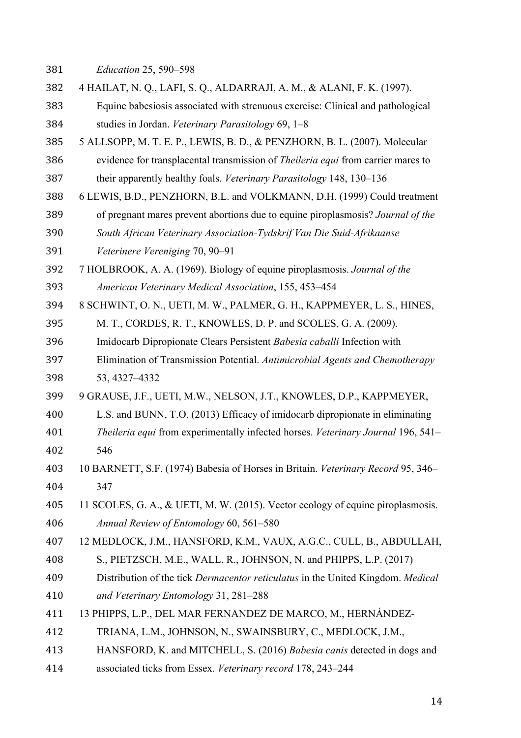*Education* 25, 590–598

- 4 HAILAT, N. Q., LAFI, S. Q., ALDARRAJI, A. M., & ALANI, F. K. (1997).
- Equine babesiosis associated with strenuous exercise: Clinical and pathological studies in Jordan. *Veterinary Parasitology* 69, 1–8
- 5 ALLSOPP, M. T. E. P., LEWIS, B. D., & PENZHORN, B. L. (2007). Molecular evidence for transplacental transmission of *Theileria equi* from carrier mares to their apparently healthy foals. *Veterinary Parasitology* 148, 130–136
- 6 LEWIS, B.D., PENZHORN, B.L. and VOLKMANN, D.H. (1999) Could treatment
- of pregnant mares prevent abortions due to equine piroplasmosis? *Journal of the South African Veterinary Association-Tydskrif Van Die Suid-Afrikaanse*
- *Veterinere Vereniging* 70, 90–91
- 7 HOLBROOK, A. A. (1969). Biology of equine piroplasmosis. *Journal of the American Veterinary Medical Association*, 155, 453–454
- 8 SCHWINT, O. N., UETI, M. W., PALMER, G. H., KAPPMEYER, L. S., HINES,
- M. T., CORDES, R. T., KNOWLES, D. P. and SCOLES, G. A. (2009).
- Imidocarb Dipropionate Clears Persistent *Babesia caballi* Infection with
- Elimination of Transmission Potential. *Antimicrobial Agents and Chemotherapy* 53, 4327–4332
- 9 GRAUSE, J.F., UETI, M.W., NELSON, J.T., KNOWLES, D.P., KAPPMEYER,
- L.S. and BUNN, T.O. (2013) Efficacy of imidocarb dipropionate in eliminating
- *Theileria equi* from experimentally infected horses. *Veterinary Journal* 196, 541– 546
- 10 BARNETT, S.F. (1974) Babesia of Horses in Britain. *Veterinary Record* 95, 346– 347
- 11 SCOLES, G. A., & UETI, M. W. (2015). Vector ecology of equine piroplasmosis. *Annual Review of Entomology* 60, 561–580
- 12 MEDLOCK, J.M., HANSFORD, K.M., VAUX, A.G.C., CULL, B., ABDULLAH,
- S., PIETZSCH, M.E., WALL, R., JOHNSON, N. and PHIPPS, L.P. (2017)
- Distribution of the tick *Dermacentor reticulatus* in the United Kingdom. *Medical and Veterinary Entomology* 31, 281–288
- 13 PHIPPS, L.P., DEL MAR FERNANDEZ DE MARCO, M., HERNÁNDEZ-
- TRIANA, L.M., JOHNSON, N., SWAINSBURY, C., MEDLOCK, J.M.,
- HANSFORD, K. and MITCHELL, S. (2016) *Babesia canis* detected in dogs and
- associated ticks from Essex. *Veterinary record* 178, 243–244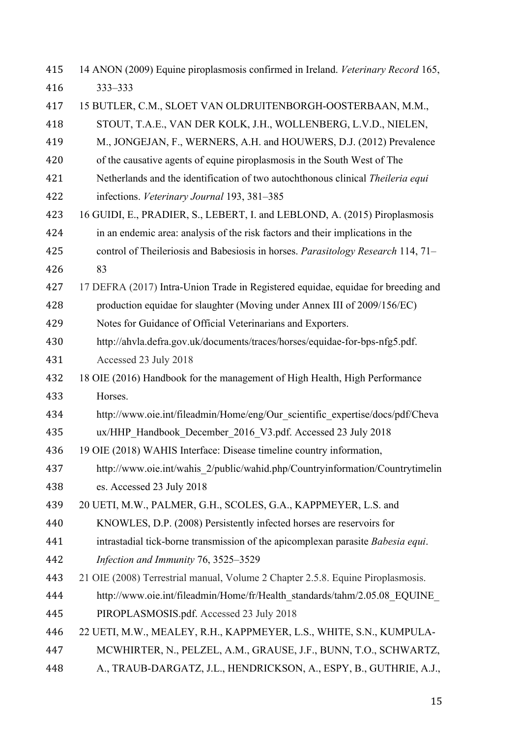14 ANON (2009) Equine piroplasmosis confirmed in Ireland. *Veterinary Record* 165, 333–333 15 BUTLER, C.M., SLOET VAN OLDRUITENBORGH-OOSTERBAAN, M.M., STOUT, T.A.E., VAN DER KOLK, J.H., WOLLENBERG, L.V.D., NIELEN, M., JONGEJAN, F., WERNERS, A.H. and HOUWERS, D.J. (2012) Prevalence of the causative agents of equine piroplasmosis in the South West of The Netherlands and the identification of two autochthonous clinical *Theileria equi* infections. *Veterinary Journal* 193, 381–385 16 GUIDI, E., PRADIER, S., LEBERT, I. and LEBLOND, A. (2015) Piroplasmosis in an endemic area: analysis of the risk factors and their implications in the control of Theileriosis and Babesiosis in horses. *Parasitology Research* 114, 71– 83 17 DEFRA (2017) Intra-Union Trade in Registered equidae, equidae for breeding and production equidae for slaughter (Moving under Annex III of 2009/156/EC) Notes for Guidance of Official Veterinarians and Exporters. http://ahvla.defra.gov.uk/documents/traces/horses/equidae-for-bps-nfg5.pdf. Accessed 23 July 2018 18 OIE (2016) Handbook for the management of High Health, High Performance Horses. http://www.oie.int/fileadmin/Home/eng/Our\_scientific\_expertise/docs/pdf/Cheva ux/HHP\_Handbook\_December\_2016\_V3.pdf. Accessed 23 July 2018 19 OIE (2018) WAHIS Interface: Disease timeline country information, http://www.oie.int/wahis\_2/public/wahid.php/Countryinformation/Countrytimelin es. Accessed 23 July 2018 20 UETI, M.W., PALMER, G.H., SCOLES, G.A., KAPPMEYER, L.S. and KNOWLES, D.P. (2008) Persistently infected horses are reservoirs for intrastadial tick-borne transmission of the apicomplexan parasite *Babesia equi*. *Infection and Immunity* 76, 3525–3529 21 OIE (2008) Terrestrial manual, Volume 2 Chapter 2.5.8. Equine Piroplasmosis. http://www.oie.int/fileadmin/Home/fr/Health\_standards/tahm/2.05.08\_EQUINE\_ PIROPLASMOSIS.pdf. Accessed 23 July 2018 22 UETI, M.W., MEALEY, R.H., KAPPMEYER, L.S., WHITE, S.N., KUMPULA- MCWHIRTER, N., PELZEL, A.M., GRAUSE, J.F., BUNN, T.O., SCHWARTZ, A., TRAUB-DARGATZ, J.L., HENDRICKSON, A., ESPY, B., GUTHRIE, A.J.,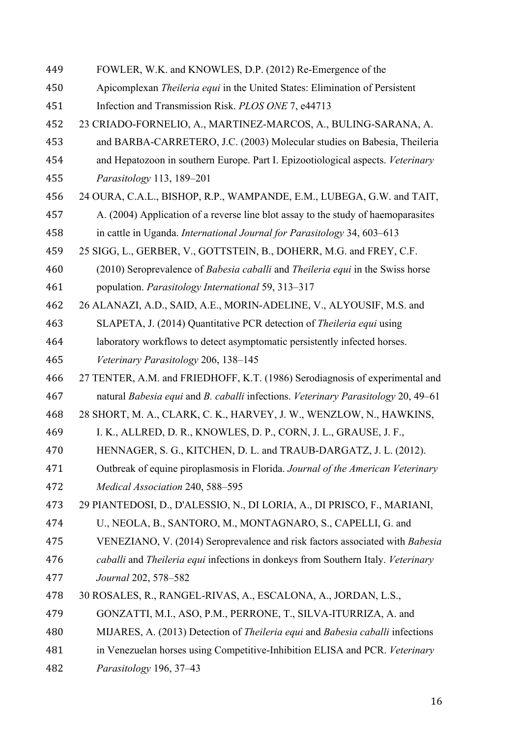FOWLER, W.K. and KNOWLES, D.P. (2012) Re-Emergence of the Apicomplexan *Theileria equi* in the United States: Elimination of Persistent Infection and Transmission Risk. *PLOS ONE* 7, e44713 23 CRIADO-FORNELIO, A., MARTINEZ-MARCOS, A., BULING-SARANA, A. and BARBA-CARRETERO, J.C. (2003) Molecular studies on Babesia, Theileria and Hepatozoon in southern Europe. Part I. Epizootiological aspects. *Veterinary Parasitology* 113, 189–201 24 OURA, C.A.L., BISHOP, R.P., WAMPANDE, E.M., LUBEGA, G.W. and TAIT, A. (2004) Application of a reverse line blot assay to the study of haemoparasites in cattle in Uganda. *International Journal for Parasitology* 34, 603–613 25 SIGG, L., GERBER, V., GOTTSTEIN, B., DOHERR, M.G. and FREY, C.F. (2010) Seroprevalence of *Babesia caballi* and *Theileria equi* in the Swiss horse population. *Parasitology International* 59, 313–317 26 ALANAZI, A.D., SAID, A.E., MORIN-ADELINE, V., ALYOUSIF, M.S. and SLAPETA, J. (2014) Quantitative PCR detection of *Theileria equi* using laboratory workflows to detect asymptomatic persistently infected horses. *Veterinary Parasitology* 206, 138–145 27 TENTER, A.M. and FRIEDHOFF, K.T. (1986) Serodiagnosis of experimental and natural *Babesia equi* and *B. caballi* infections. *Veterinary Parasitology* 20, 49–61 28 SHORT, M. A., CLARK, C. K., HARVEY, J. W., WENZLOW, N., HAWKINS, I. K., ALLRED, D. R., KNOWLES, D. P., CORN, J. L., GRAUSE, J. F., HENNAGER, S. G., KITCHEN, D. L. and TRAUB-DARGATZ, J. L. (2012). Outbreak of equine piroplasmosis in Florida. *Journal of the American Veterinary Medical Association* 240, 588–595 29 PIANTEDOSI, D., D'ALESSIO, N., DI LORIA, A., DI PRISCO, F., MARIANI, U., NEOLA, B., SANTORO, M., MONTAGNARO, S., CAPELLI, G. and VENEZIANO, V. (2014) Seroprevalence and risk factors associated with *Babesia caballi* and *Theileria equi* infections in donkeys from Southern Italy. *Veterinary Journal* 202, 578–582 30 ROSALES, R., RANGEL-RIVAS, A., ESCALONA, A., JORDAN, L.S., GONZATTI, M.I., ASO, P.M., PERRONE, T., SILVA-ITURRIZA, A. and MIJARES, A. (2013) Detection of *Theileria equi* and *Babesia caballi* infections in Venezuelan horses using Competitive-Inhibition ELISA and PCR. *Veterinary Parasitology* 196, 37–43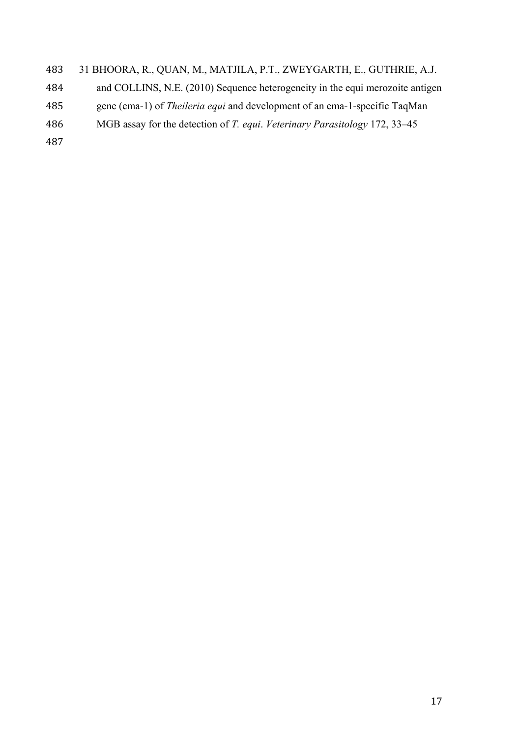### 31 BHOORA, R., QUAN, M., MATJILA, P.T., ZWEYGARTH, E., GUTHRIE, A.J.

- and COLLINS, N.E. (2010) Sequence heterogeneity in the equi merozoite antigen
- gene (ema-1) of *Theileria equi* and development of an ema-1-specific TaqMan
- MGB assay for the detection of *T. equi*. *Veterinary Parasitology* 172, 33–45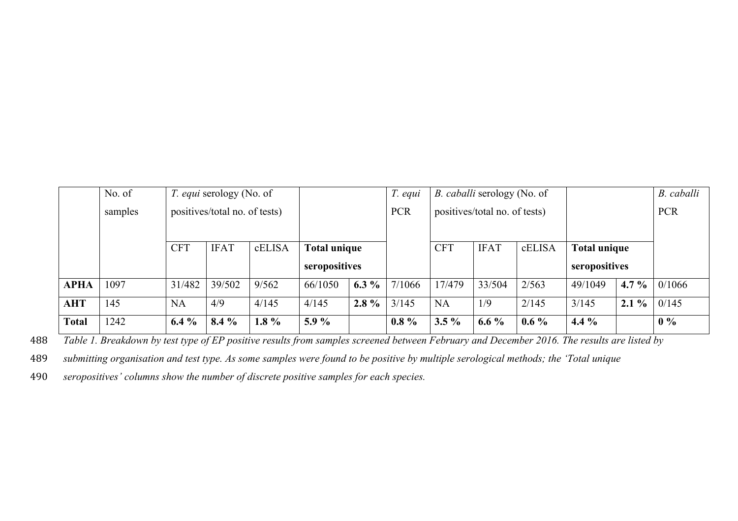|              | No. of  | <i>T. equi</i> serology (No. of |             |            |                     | T. equi                       | <i>B. caballi serology (No. of</i> |            |             |            |                     | B. caballi |        |
|--------------|---------|---------------------------------|-------------|------------|---------------------|-------------------------------|------------------------------------|------------|-------------|------------|---------------------|------------|--------|
|              | samples | positives/total no. of tests)   |             | <b>PCR</b> |                     | positives/total no. of tests) |                                    |            |             | <b>PCR</b> |                     |            |        |
|              |         |                                 |             |            |                     |                               |                                    |            |             |            |                     |            |        |
|              |         | <b>CFT</b>                      | <b>IFAT</b> | cELISA     | <b>Total unique</b> |                               |                                    | <b>CFT</b> | <b>IFAT</b> | cELISA     | <b>Total unique</b> |            |        |
|              |         |                                 |             |            | seropositives       |                               |                                    |            |             |            | seropositives       |            |        |
| <b>APHA</b>  | 1097    | 31/482                          | 39/502      | 9/562      | 66/1050             | $6.3\%$                       | 7/1066                             | 17/479     | 33/504      | 2/563      | 49/1049             | 4.7 $%$    | 0/1066 |
| <b>AHT</b>   | 145     | <b>NA</b>                       | 4/9         | 4/145      | 4/145               | $2.8\%$                       | 3/145                              | <b>NA</b>  | 1/9         | 2/145      | 3/145               | $2.1\%$    | 0/145  |
| <b>Total</b> | 1242    | $6.4\%$                         | $8.4\%$     | $1.8\%$    | $5.9\%$             |                               | $0.8\%$                            | $3.5\%$    | $6.6\%$     | $0.6\%$    | 4.4 $%$             |            | $0\%$  |

488 *Table 1. Breakdown by test type of EP positive results from samples screened between February and December 2016. The results are listed by* 

489 *submitting organisation and test type. As some samples were found to be positive by multiple serological methods; the 'Total unique* 

490 *seropositives' columns show the number of discrete positive samples for each species.*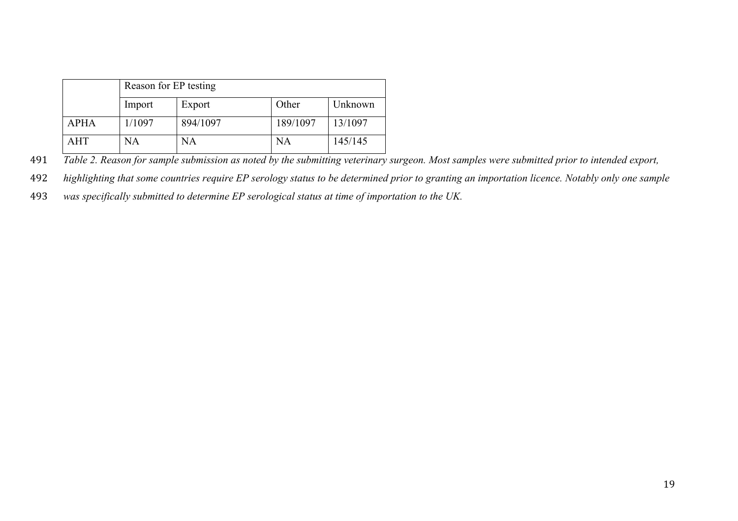|             | Reason for EP testing |          |           |         |  |  |  |
|-------------|-----------------------|----------|-----------|---------|--|--|--|
|             | Import                | Export   | Other     | Unknown |  |  |  |
| <b>APHA</b> | 1/1097                | 894/1097 | 189/1097  | 13/1097 |  |  |  |
| <b>AHT</b>  | NA                    | NA       | <b>NA</b> | 145/145 |  |  |  |

491 *Table 2. Reason for sample submission as noted by the submitting veterinary surgeon. Most samples were submitted prior to intended export,* 

492 *highlighting that some countries require EP serology status to be determined prior to granting an importation licence. Notably only one sample* 

493 *was specifically submitted to determine EP serological status at time of importation to the UK.*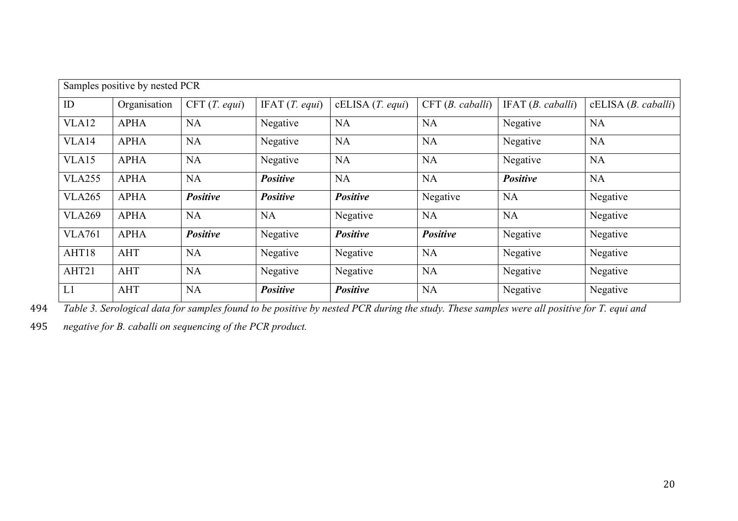|                   | Samples positive by nested PCR |                 |                  |                 |                 |                  |                    |  |
|-------------------|--------------------------------|-----------------|------------------|-----------------|-----------------|------------------|--------------------|--|
| ID                | Organisation                   | CFT(T. equi)    | IFAT $(T.$ equi) | cELISA(T. equi) | CFT(B. caballi) | IFAT(B. caballi) | cELISA(B. caballi) |  |
| VLA12             | <b>APHA</b>                    | <b>NA</b>       | Negative         | <b>NA</b>       | <b>NA</b>       | Negative         | <b>NA</b>          |  |
| VLA14             | <b>APHA</b>                    | <b>NA</b>       | Negative         | <b>NA</b>       | <b>NA</b>       | Negative         | <b>NA</b>          |  |
| VLA <sub>15</sub> | <b>APHA</b>                    | <b>NA</b>       | Negative         | <b>NA</b>       | <b>NA</b>       | Negative         | <b>NA</b>          |  |
| <b>VLA255</b>     | <b>APHA</b>                    | <b>NA</b>       | <b>Positive</b>  | <b>NA</b>       | <b>NA</b>       | <b>Positive</b>  | NA                 |  |
| <b>VLA265</b>     | <b>APHA</b>                    | <b>Positive</b> | <b>Positive</b>  | <b>Positive</b> | Negative        | <b>NA</b>        | Negative           |  |
| <b>VLA269</b>     | <b>APHA</b>                    | <b>NA</b>       | <b>NA</b>        | Negative        | <b>NA</b>       | <b>NA</b>        | Negative           |  |
| <b>VLA761</b>     | <b>APHA</b>                    | <b>Positive</b> | Negative         | <b>Positive</b> | <b>Positive</b> | Negative         | Negative           |  |
| AHT18             | <b>AHT</b>                     | <b>NA</b>       | Negative         | Negative        | <b>NA</b>       | Negative         | Negative           |  |
| AHT21             | <b>AHT</b>                     | NA              | Negative         | Negative        | <b>NA</b>       | Negative         | Negative           |  |
| L1                | <b>AHT</b>                     | <b>NA</b>       | <b>Positive</b>  | Positive        | <b>NA</b>       | Negative         | Negative           |  |

494 *Table 3. Serological data for samples found to be positive by nested PCR during the study. These samples were all positive for T. equi and* 

495 *negative for B. caballi on sequencing of the PCR product.*